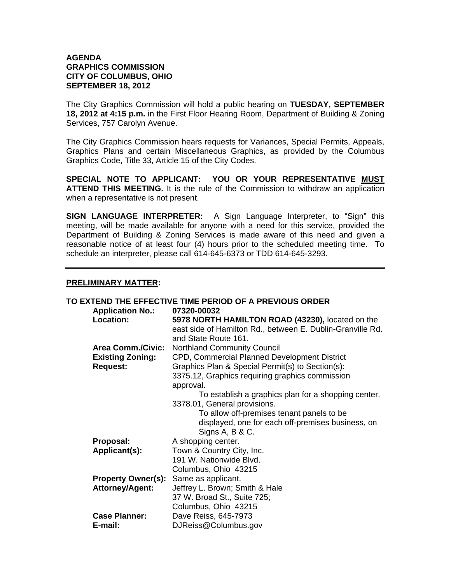## **AGENDA GRAPHICS COMMISSION CITY OF COLUMBUS, OHIO SEPTEMBER 18, 2012**

The City Graphics Commission will hold a public hearing on **TUESDAY, SEPTEMBER 18, 2012 at 4:15 p.m.** in the First Floor Hearing Room, Department of Building & Zoning Services, 757 Carolyn Avenue.

The City Graphics Commission hears requests for Variances, Special Permits, Appeals, Graphics Plans and certain Miscellaneous Graphics, as provided by the Columbus Graphics Code, Title 33, Article 15 of the City Codes.

**SPECIAL NOTE TO APPLICANT: YOU OR YOUR REPRESENTATIVE MUST ATTEND THIS MEETING.** It is the rule of the Commission to withdraw an application when a representative is not present.

**SIGN LANGUAGE INTERPRETER:** A Sign Language Interpreter, to "Sign" this meeting, will be made available for anyone with a need for this service, provided the Department of Building & Zoning Services is made aware of this need and given a reasonable notice of at least four (4) hours prior to the scheduled meeting time. To schedule an interpreter, please call 614-645-6373 or TDD 614-645-3293.

## **PRELIMINARY MATTER:**

|                           | TO EXTEND THE EFFECTIVE TIME PERIOD OF A PREVIOUS ORDER    |
|---------------------------|------------------------------------------------------------|
| <b>Application No.:</b>   | 07320-00032                                                |
| Location:                 | 5978 NORTH HAMILTON ROAD (43230), located on the           |
|                           | east side of Hamilton Rd., between E. Dublin-Granville Rd. |
|                           | and State Route 161.                                       |
| <b>Area Comm./Civic:</b>  | <b>Northland Community Council</b>                         |
| <b>Existing Zoning:</b>   | CPD, Commercial Planned Development District               |
| <b>Request:</b>           | Graphics Plan & Special Permit(s) to Section(s):           |
|                           | 3375.12, Graphics requiring graphics commission            |
|                           | approval.                                                  |
|                           | To establish a graphics plan for a shopping center.        |
|                           | 3378.01, General provisions.                               |
|                           | To allow off-premises tenant panels to be                  |
|                           | displayed, one for each off-premises business, on          |
|                           | Signs A, B & C.                                            |
| Proposal:                 | A shopping center.                                         |
| Applicant(s):             | Town & Country City, Inc.                                  |
|                           | 191 W. Nationwide Blvd.                                    |
|                           | Columbus, Ohio 43215                                       |
| <b>Property Owner(s):</b> | Same as applicant.                                         |
| <b>Attorney/Agent:</b>    | Jeffrey L. Brown; Smith & Hale                             |
|                           | 37 W. Broad St., Suite 725;                                |
|                           | Columbus, Ohio 43215                                       |
| <b>Case Planner:</b>      | Dave Reiss, 645-7973                                       |
| E-mail:                   | DJReiss@Columbus.gov                                       |
|                           |                                                            |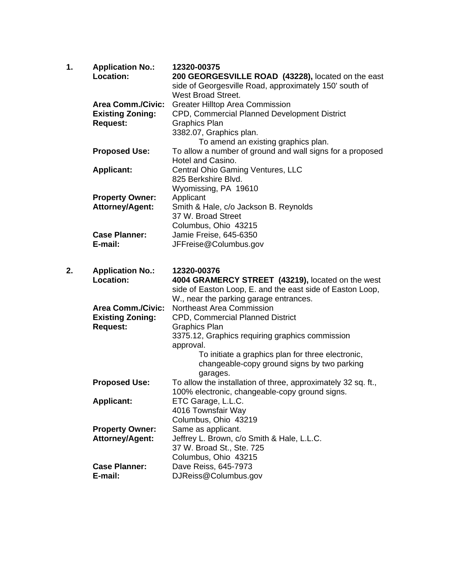| 1. | <b>Application No.:</b>  | 12320-00375                                                                  |
|----|--------------------------|------------------------------------------------------------------------------|
|    | Location:                | 200 GEORGESVILLE ROAD (43228), located on the east                           |
|    |                          | side of Georgesville Road, approximately 150' south of<br>West Broad Street. |
|    | <b>Area Comm./Civic:</b> | <b>Greater Hilltop Area Commission</b>                                       |
|    | <b>Existing Zoning:</b>  | CPD, Commercial Planned Development District                                 |
|    | <b>Request:</b>          | <b>Graphics Plan</b>                                                         |
|    |                          | 3382.07, Graphics plan.                                                      |
|    |                          | To amend an existing graphics plan.                                          |
|    | <b>Proposed Use:</b>     | To allow a number of ground and wall signs for a proposed                    |
|    |                          | Hotel and Casino.                                                            |
|    | <b>Applicant:</b>        | Central Ohio Gaming Ventures, LLC                                            |
|    |                          | 825 Berkshire Blvd.                                                          |
|    |                          | Wyomissing, PA 19610                                                         |
|    | <b>Property Owner:</b>   | Applicant                                                                    |
|    | <b>Attorney/Agent:</b>   | Smith & Hale, c/o Jackson B. Reynolds<br>37 W. Broad Street                  |
|    |                          | Columbus, Ohio 43215                                                         |
|    | <b>Case Planner:</b>     | Jamie Freise, 645-6350                                                       |
|    | E-mail:                  | JFFreise@Columbus.gov                                                        |
|    |                          |                                                                              |
| 2. | <b>Application No.:</b>  | 12320-00376                                                                  |
|    | Location:                | 4004 GRAMERCY STREET (43219), located on the west                            |
|    |                          | side of Easton Loop, E. and the east side of Easton Loop,                    |
|    |                          | W., near the parking garage entrances.                                       |
|    | <b>Area Comm./Civic:</b> | <b>Northeast Area Commission</b>                                             |
|    | <b>Existing Zoning:</b>  | <b>CPD, Commercial Planned District</b>                                      |
|    | <b>Request:</b>          | <b>Graphics Plan</b>                                                         |
|    |                          | 3375.12, Graphics requiring graphics commission<br>approval.                 |
|    |                          | To initiate a graphics plan for three electronic,                            |
|    |                          | changeable-copy ground signs by two parking                                  |
|    |                          | garages.                                                                     |
|    | <b>Proposed Use:</b>     | To allow the installation of three, approximately 32 sq. ft.,                |
|    |                          | 100% electronic, changeable-copy ground signs.                               |
|    | <b>Applicant:</b>        | ETC Garage, L.L.C.                                                           |
|    |                          | 4016 Townsfair Way                                                           |
|    |                          | Columbus, Ohio 43219                                                         |
|    | <b>Property Owner:</b>   | Same as applicant.                                                           |
|    | <b>Attorney/Agent:</b>   | Jeffrey L. Brown, c/o Smith & Hale, L.L.C.                                   |
|    |                          | 37 W. Broad St., Ste. 725                                                    |
|    | <b>Case Planner:</b>     | Columbus, Ohio 43215<br>Dave Reiss, 645-7973                                 |
|    | E-mail:                  | DJReiss@Columbus.gov                                                         |
|    |                          |                                                                              |